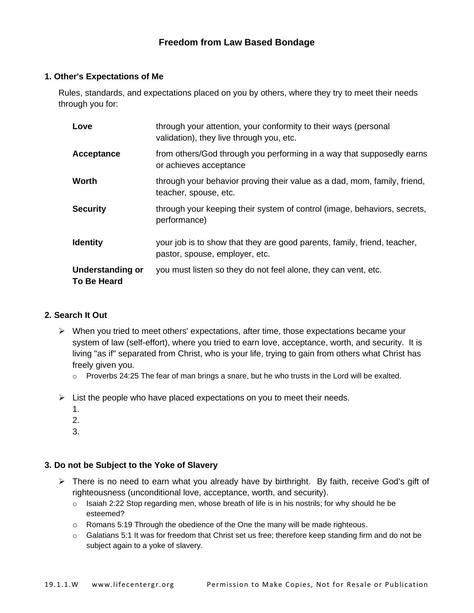### **Freedom from Law Based Bondage**

#### **1. Other's Expectations of Me**

Rules, standards, and expectations placed on you by others, where they try to meet their needs through you for:

| Love                                          | through your attention, your conformity to their ways (personal<br>validation), they live through you, etc. |
|-----------------------------------------------|-------------------------------------------------------------------------------------------------------------|
| Acceptance                                    | from others/God through you performing in a way that supposedly earns<br>or achieves acceptance             |
| Worth                                         | through your behavior proving their value as a dad, mom, family, friend,<br>teacher, spouse, etc.           |
| <b>Security</b>                               | through your keeping their system of control (image, behaviors, secrets,<br>performance)                    |
| <b>Identity</b>                               | your job is to show that they are good parents, family, friend, teacher,<br>pastor, spouse, employer, etc.  |
| <b>Understanding or</b><br><b>To Be Heard</b> | you must listen so they do not feel alone, they can vent, etc.                                              |

### **2. Search It Out**

- ➢ When you tried to meet others' expectations, after time, those expectations became your system of law (self-effort), where you tried to earn love, acceptance, worth, and security. It is living "as if" separated from Christ, who is your life, trying to gain from others what Christ has freely given you.
	- $\circ$  Proverbs 24:25 The fear of man brings a snare, but he who trusts in the Lord will be exalted.
- $\triangleright$  List the people who have placed expectations on you to meet their needs.
	- 1.
	- 2.
	- 3.

#### **3. Do not be Subject to the Yoke of Slavery**

- $\triangleright$  There is no need to earn what you already have by birthright. By faith, receive God's gift of righteousness (unconditional love, acceptance, worth, and security).
	- $\circ$  Isaiah 2:22 Stop regarding men, whose breath of life is in his nostrils; for why should he be esteemed?
	- o Romans 5:19 Through the obedience of the One the many will be made righteous.
	- $\circ$  Galatians 5:1 It was for freedom that Christ set us free; therefore keep standing firm and do not be subject again to a yoke of slavery.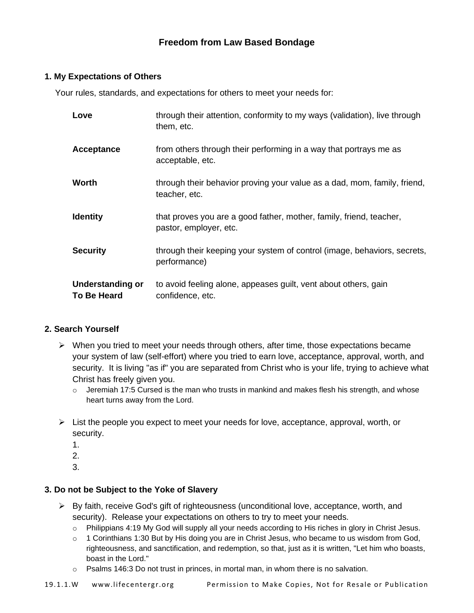# **Freedom from Law Based Bondage**

### **1. My Expectations of Others**

Your rules, standards, and expectations for others to meet your needs for:

| Love                                          | through their attention, conformity to my ways (validation), live through<br>them, etc.       |
|-----------------------------------------------|-----------------------------------------------------------------------------------------------|
| Acceptance                                    | from others through their performing in a way that portrays me as<br>acceptable, etc.         |
| Worth                                         | through their behavior proving your value as a dad, mom, family, friend,<br>teacher, etc.     |
| <b>Identity</b>                               | that proves you are a good father, mother, family, friend, teacher,<br>pastor, employer, etc. |
| <b>Security</b>                               | through their keeping your system of control (image, behaviors, secrets,<br>performance)      |
| <b>Understanding or</b><br><b>To Be Heard</b> | to avoid feeling alone, appeases guilt, vent about others, gain<br>confidence, etc.           |

### **2. Search Yourself**

- $\triangleright$  When you tried to meet your needs through others, after time, those expectations became your system of law (self-effort) where you tried to earn love, acceptance, approval, worth, and security. It is living "as if" you are separated from Christ who is your life, trying to achieve what Christ has freely given you.
	- $\circ$  Jeremiah 17:5 Cursed is the man who trusts in mankind and makes flesh his strength, and whose heart turns away from the Lord.
- $\triangleright$  List the people you expect to meet your needs for love, acceptance, approval, worth, or security.
	- 1.
	- 2.
	- 3.

### **3. Do not be Subject to the Yoke of Slavery**

- ➢ By faith, receive God's gift of righteousness (unconditional love, acceptance, worth, and security). Release your expectations on others to try to meet your needs.
	- o Philippians 4:19 My God will supply all your needs according to His riches in glory in Christ Jesus.
	- $\circ$  1 Corinthians 1:30 But by His doing you are in Christ Jesus, who became to us wisdom from God, righteousness, and sanctification, and redemption, so that, just as it is written, "Let him who boasts, boast in the Lord."
	- $\circ$  Psalms 146:3 Do not trust in princes, in mortal man, in whom there is no salvation.